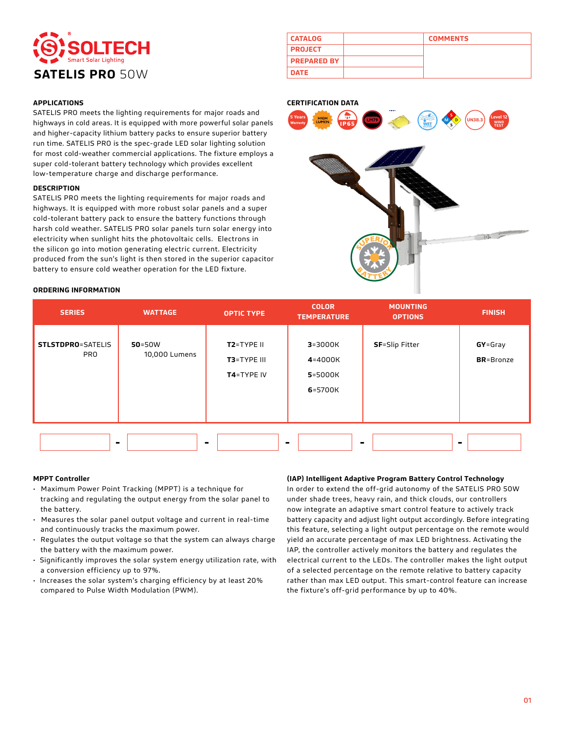# **SATELIS PRO 50W**

| <b>APPLICATIONS</b> |  |  |
|---------------------|--|--|

SATELIS PRO meets the lighting requirements for major roads and highways in cold areas. It is equipped with more powerful solar panels and higher-capacity lithium battery packs to ensure superior battery run time. SATELIS PRO is the spec-grade LED solar lighting solution for most cold-weather commercial applications. The fixture employs a super cold-tolerant battery technology which provides excellent low-temperature charge and discharge performance.

#### **DESCRIPTION**

SATELIS PRO meets the lighting requirements for major roads and highways. It is equipped with more robust solar panels and a super cold-tolerant battery pack to ensure the battery functions through harsh cold weather. SATELIS PRO solar panels turn solar energy into electricity when sunlight hits the photovoltaic cells. Electrons in the silicon go into motion generating electric current. Electricity produced from the sun's light is then stored in the superior capacitor battery to ensure cold weather operation for the LED fixture.

| <b>ORDERING INFORMATION</b> |
|-----------------------------|
|                             |

| <b>CATALOG</b>     | <b>COMMENTS</b> |
|--------------------|-----------------|
| <b>PROJECT</b>     |                 |
| <b>PREPARED BY</b> |                 |
| <b>DATE</b>        |                 |

#### **CERTIFICATION DATA**



| <b>SERIES</b>                          | <b>WATTAGE</b>              | <b>OPTIC TYPE</b>                       | <b>COLOR</b><br><b>TEMPERATURE</b>           | <b>MOUNTING</b><br><b>OPTIONS</b> | <b>FINISH</b>                    |
|----------------------------------------|-----------------------------|-----------------------------------------|----------------------------------------------|-----------------------------------|----------------------------------|
| <b>STLSTDPRO=SATELIS</b><br><b>PRO</b> | $50 = 50W$<br>10,000 Lumens | T2=TYPE II<br>T3=TYPE III<br>T4=TYPE IV | $3 = 3000K$<br>4=4000K<br>5=5000K<br>6=5700K | <b>SF</b> =Slip Fitter            | $GY = Gray$<br><b>BR</b> =Bronze |
|                                        |                             |                                         |                                              |                                   | ٠                                |

#### **MPPT Controller**

- Maximum Power Point Tracking (MPPT) is a technique for tracking and regulating the output energy from the solar panel to the battery.
- Measures the solar panel output voltage and current in real-time and continuously tracks the maximum power.
- Regulates the output voltage so that the system can always charge the battery with the maximum power.
- Significantly improves the solar system energy utilization rate, with a conversion efficiency up to 97%.
- Increases the solar system's charging efficiency by at least 20% compared to Pulse Width Modulation (PWM).

#### **(IAP) Intelligent Adaptive Program Battery Control Technology**

In order to extend the off-grid autonomy of the SATELIS PRO 50W under shade trees, heavy rain, and thick clouds, our controllers now integrate an adaptive smart control feature to actively track battery capacity and adjust light output accordingly. Before integrating this feature, selecting a light output percentage on the remote would yield an accurate percentage of max LED brightness. Activating the IAP, the controller actively monitors the battery and regulates the electrical current to the LEDs. The controller makes the light output of a selected percentage on the remote relative to battery capacity rather than max LED output. This smart-control feature can increase the fixture's off-grid performance by up to 40%.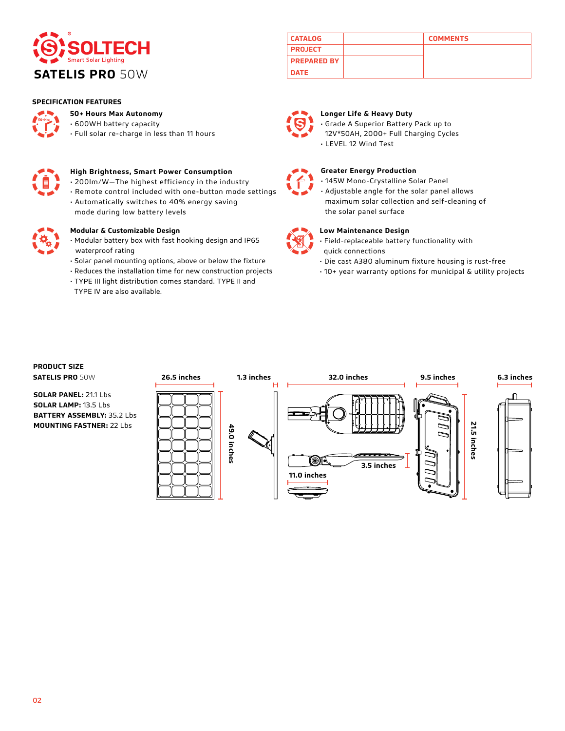

#### **SPECIFICATION FEATURES**



#### **50+ Hours Max Autonomy**

- 600WH battery capacity
- Full solar re-charge in less than 11 hours



#### **High Brightness, Smart Power Consumption**

- 200lm/W—The highest efficiency in the industry
- Remote control included with one-button mode settings • Automatically switches to 40% energy saving
- mode during low battery levels



#### **Modular & Customizable Design**

- Modular battery box with fast hooking design and IP65 waterproof rating
- Solar panel mounting options, above or below the fixture
- Reduces the installation time for new construction projects
- TYPE III light distribution comes standard. TYPE II and TYPE IV are also available.

## **CATALOG COMMENTS PROJECT PREPARED BY**



#### **Longer Life & Heavy Duty**

• Grade A Superior Battery Pack up to 12V\*50AH, 2000+ Full Charging Cycles • LEVEL 12 Wind Test



#### **Greater Energy Production**

• 145W Mono-Crystalline Solar Panel

• Adjustable angle for the solar panel allows maximum solar collection and self-cleaning of the solar panel surface



#### **Low Maintenance Design**

- Field-replaceable battery functionality with quick connections
- Die cast A380 aluminum fixture housing is rust-free
- 10+ year warranty options for municipal & utility projects

## **PRODUCT SIZE**

**SOLAR PANEL:** 21.1 Lbs **SOLAR LAMP:** 13.5 Lbs **BATTERY ASSEMBLY:** 35.2 Lbs **MOUNTING FASTNER:** 22 Lbs

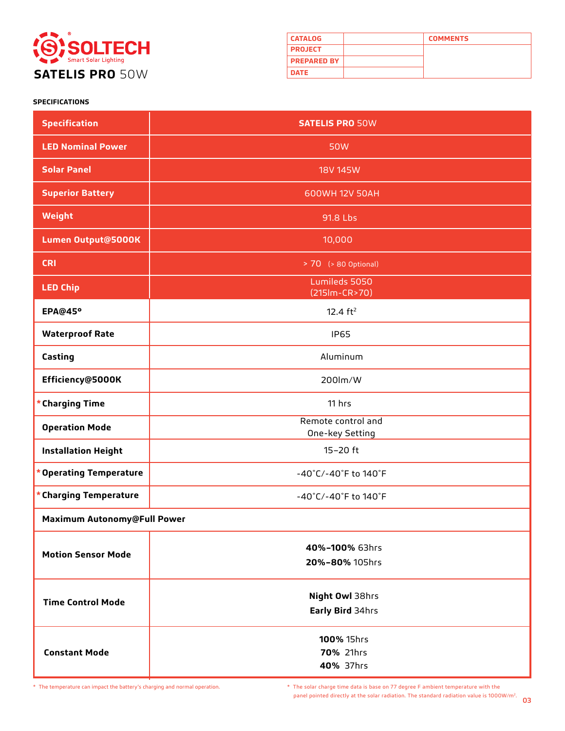

| <b>CATALOG</b>     | <b>COMMENTS</b> |
|--------------------|-----------------|
| <b>PROJECT</b>     |                 |
| <b>PREPARED BY</b> |                 |
| <b>DATE</b>        |                 |

### **SPECIFICATIONS**

| <b>Specification</b>        | <b>SATELIS PRO 50W</b>                |  |
|-----------------------------|---------------------------------------|--|
| <b>LED Nominal Power</b>    | <b>50W</b>                            |  |
| <b>Solar Panel</b>          | <b>18V 145W</b>                       |  |
| <b>Superior Battery</b>     | 600WH 12V 50AH                        |  |
| Weight                      | 91.8 Lbs                              |  |
| Lumen Output@5000K          | 10,000                                |  |
| <b>CRI</b>                  | > 70 (> 80 Optional)                  |  |
| <b>LED Chip</b>             | Lumileds 5050<br>(215lm-CR>70)        |  |
| <b>EPA@45°</b>              | 12.4 $ft^2$                           |  |
| <b>Waterproof Rate</b>      | <b>IP65</b>                           |  |
| Casting                     | Aluminum                              |  |
| Efficiency@5000K            | 200lm/W                               |  |
| * Charging Time             | 11 hrs                                |  |
| <b>Operation Mode</b>       | Remote control and<br>One-key Setting |  |
| <b>Installation Height</b>  | $15-20$ ft                            |  |
| * Operating Temperature     | -40°C/-40°F to 140°F                  |  |
| * Charging Temperature      | -40°C/-40°F to 140°F                  |  |
| Maximum Autonomy@Full Power |                                       |  |
| <b>Motion Sensor Mode</b>   | 40%-100% 63hrs<br>20%-80% 105hrs      |  |
| <b>Time Control Mode</b>    | Night Owl 38hrs<br>Early Bird 34hrs   |  |
| <b>Constant Mode</b>        | 100% 15hrs<br>70% 21hrs<br>40% 37hrs  |  |

03 panel pointed directly at the solar radiation. The standard radiation value is 1000W/m2. \* The temperature can impact the battery's charging and normal operation. \* The solar charge time data is base on 77 degree F ambient temperature with the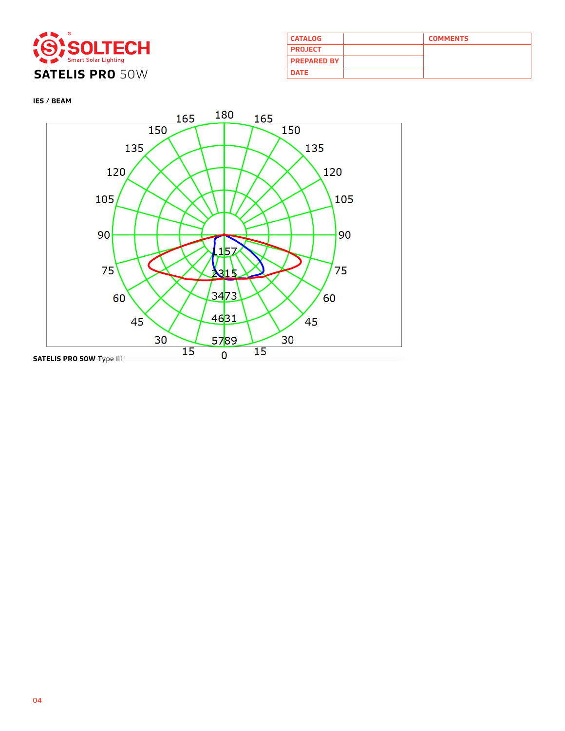

| <b>CATALOG</b>     | <b>COMMENTS</b> |
|--------------------|-----------------|
| <b>PROJECT</b>     |                 |
| <b>PREPARED BY</b> |                 |
| <b>DATE</b>        |                 |

**IES / BEAM**

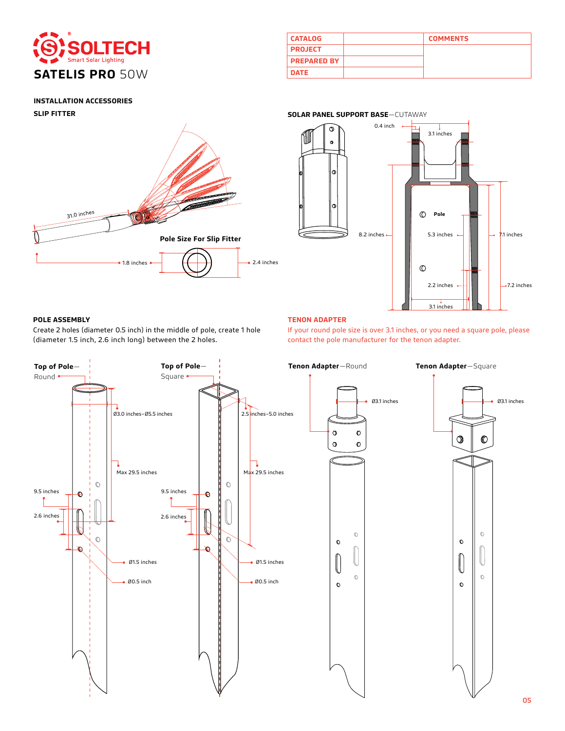

| <b>CATALOG</b>     | <b>COMMENTS</b> |
|--------------------|-----------------|
| <b>PROJECT</b>     |                 |
| <b>PREPARED BY</b> |                 |
| <b>DATE</b>        |                 |

#### **INSTALLATION ACCESSORIES**

**SLIP FITTER**





#### **POLE ASSEMBLY TENON ADAPTER**

Create 2 holes (diameter 0.5 inch) in the middle of pole, create 1 hole (diameter 1.5 inch, 2.6 inch long) between the 2 holes.

If your round pole size is over 3.1 inches, or you need a square pole, please contact the pole manufacturer for the tenon adapter.

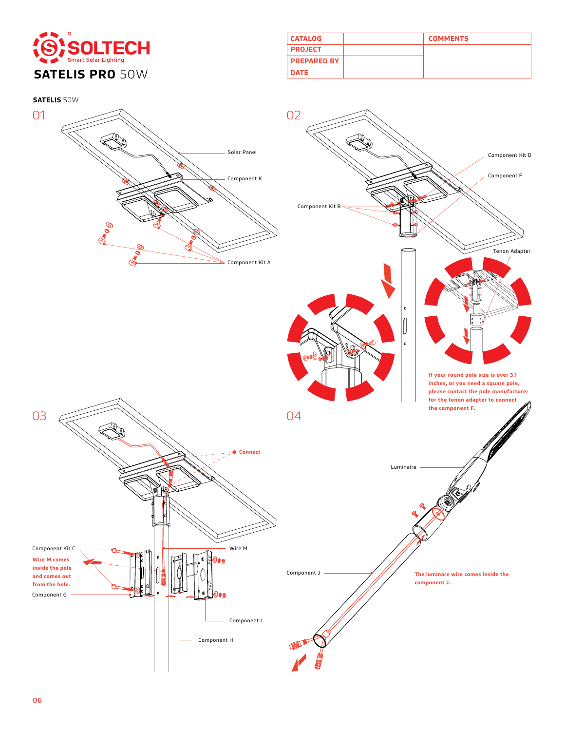

| <b>CATALOG</b>     | <b>COMMENTS</b> |
|--------------------|-----------------|
| <b>PROJECT</b>     |                 |
| <b>PREPARED BY</b> |                 |
| <b>DATE</b>        |                 |

**SATELIS** 50W

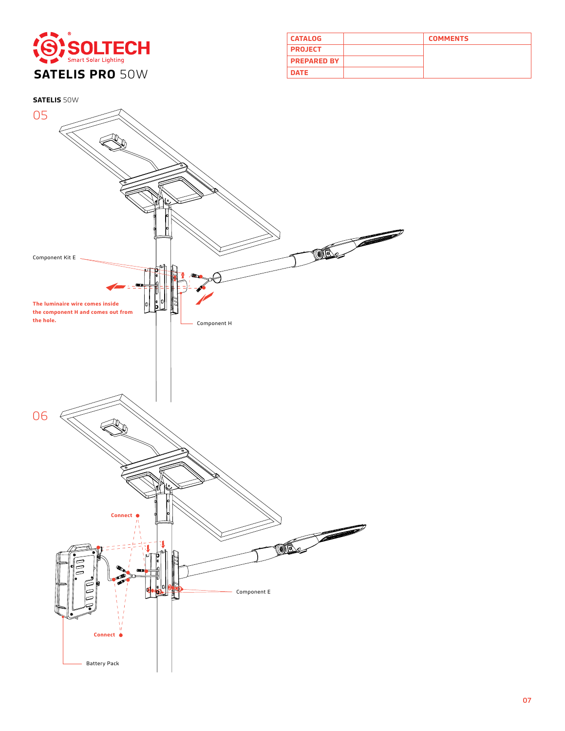

| <b>CATALOG</b>     | <b>COMMENTS</b> |
|--------------------|-----------------|
| <b>PROJECT</b>     |                 |
| <b>PREPARED BY</b> |                 |
| <b>DATE</b>        |                 |

**SATELIS** 50W

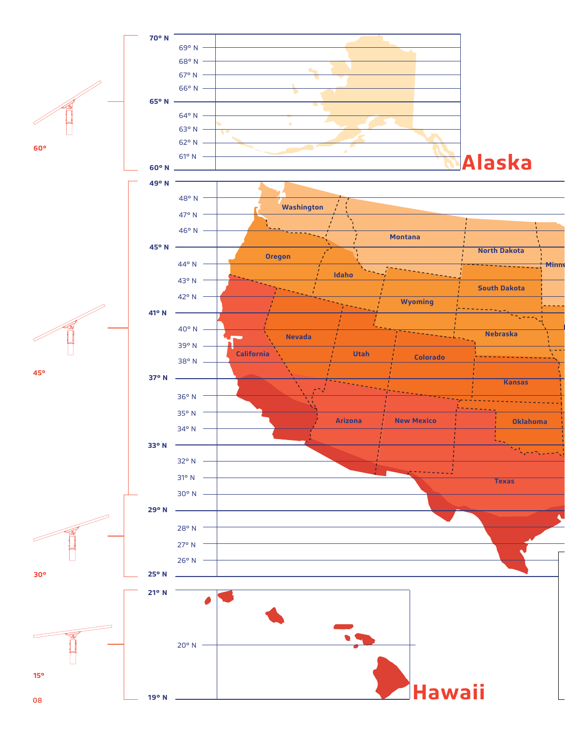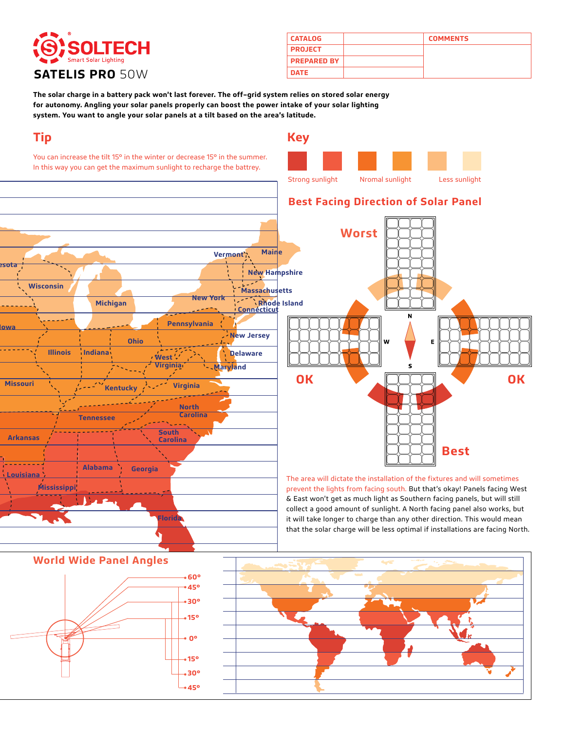# **SATELIS PRO 50W**

| <b>CATALOG</b>     | <b>COMMENTS</b> |
|--------------------|-----------------|
| <b>PROJECT</b>     |                 |
| <b>PREPARED BY</b> |                 |
| <b>DATE</b>        |                 |

**The solar charge in a battery pack won't last forever. The off–grid system relies on stored solar energy for autonomy. Angling your solar panels properly can boost the power intake of your solar lighting system. You want to angle your solar panels at a tilt based on the area's latitude.**

## **Tip**

**Wisconsin**

**Minnesota**

**Iowa**

**Arkansas**

**Missouri**

**Louisiana**

You can increase the tilt 15° in the winter or decrease 15° in the summer. In this way you can get the maximum sunlight to recharge the battrey.





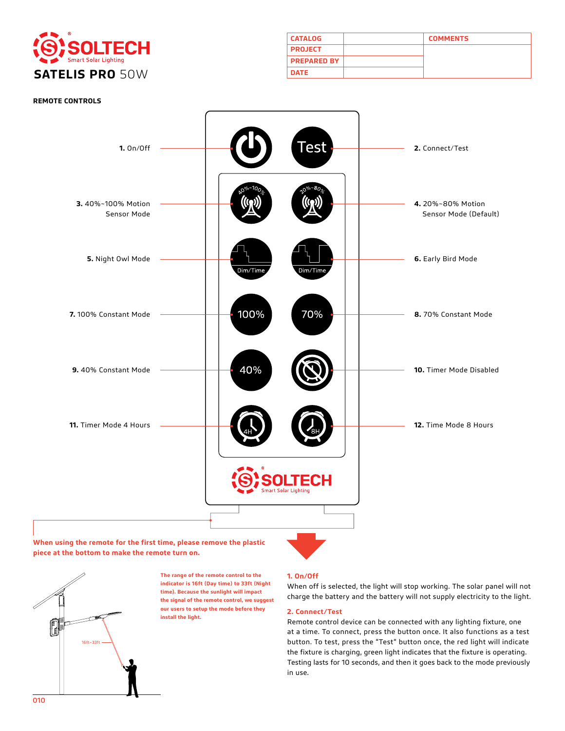

| <b>CATALOG</b>     | <b>COMMENTS</b> |
|--------------------|-----------------|
| <b>PROJECT</b>     |                 |
| <b>PREPARED BY</b> |                 |
| <b>DATE</b>        |                 |



**When using the remote for the first time, please remove the plastic piece at the bottom to make the remote turn on.**



**The range of the remote control to the indicator is 16ft (Day time) to 33ft (Night time). Because the sunlight will impact the signal of the remote control, we suggest our users to setup the mode before they install the light.** 

#### **1. On/Off**

When off is selected, the light will stop working. The solar panel will not charge the battery and the battery will not supply electricity to the light.

#### **2. Connect/Test**

Remote control device can be connected with any lighting fixture, one at a time. To connect, press the button once. It also functions as a test button. To test, press the "Test" button once, the red light will indicate the fixture is charging, green light indicates that the fixture is operating. Testing lasts for 10 seconds, and then it goes back to the mode previously in use.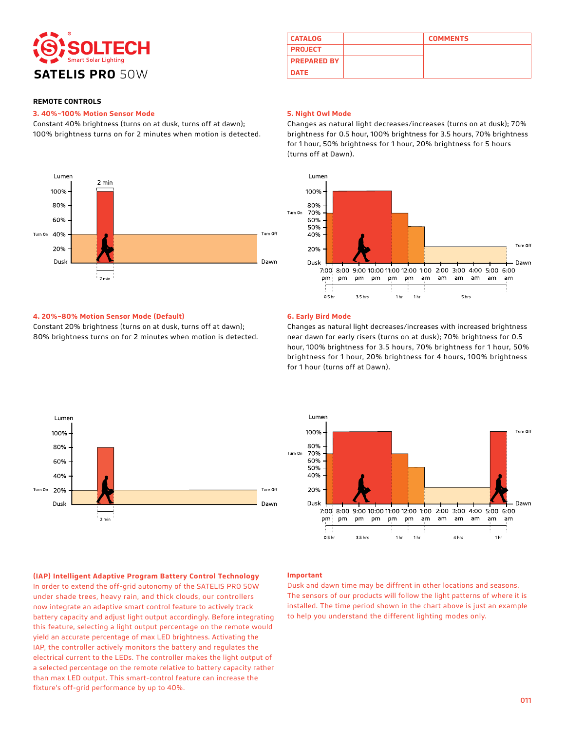

#### **3. 40%~100% Motion Sensor Mode**

Constant 40% brightness (turns on at dusk, turns off at dawn); 100% brightness turns on for 2 minutes when motion is detected.



## **CATALOG COMMENTS PROJECT PREPARED BY**

#### **5. Night Owl Mode**

Changes as natural light decreases/increases (turns on at dusk); 70% brightness for 0.5 hour, 100% brightness for 3.5 hours, 70% brightness for 1 hour, 50% brightness for 1 hour, 20% brightness for 5 hours (turns off at Dawn).



#### **4. 20%~80% Motion Sensor Mode (Default)**

Constant 20% brightness (turns on at dusk, turns off at dawn); 80% brightness turns on for 2 minutes when motion is detected.

#### **6. Early Bird Mode**

Changes as natural light decreases/increases with increased brightness near dawn for early risers (turns on at dusk); 70% brightness for 0.5 hour, 100% brightness for 3.5 hours, 70% brightness for 1 hour, 50% brightness for 1 hour, 20% brightness for 4 hours, 100% brightness for 1 hour (turns off at Dawn).





**(IAP) Intelligent Adaptive Program Battery Control Technology**

In order to extend the off-grid autonomy of the SATELIS PRO 50W under shade trees, heavy rain, and thick clouds, our controllers now integrate an adaptive smart control feature to actively track battery capacity and adjust light output accordingly. Before integrating this feature, selecting a light output percentage on the remote would yield an accurate percentage of max LED brightness. Activating the IAP, the controller actively monitors the battery and regulates the electrical current to the LEDs. The controller makes the light output of a selected percentage on the remote relative to battery capacity rather than max LED output. This smart-control feature can increase the fixture's off-grid performance by up to 40%.

#### **Important**

Dusk and dawn time may be diffrent in other locations and seasons. The sensors of our products will follow the light patterns of where it is installed. The time period shown in the chart above is just an example to help you understand the different lighting modes only.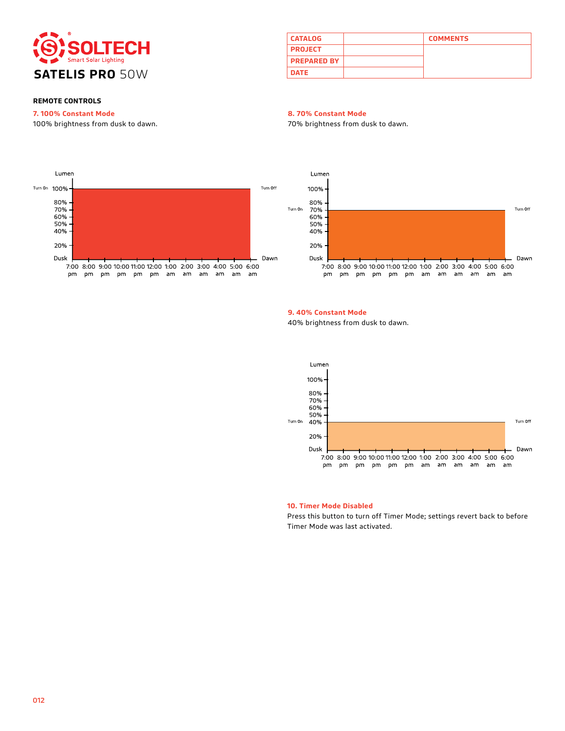

| <b>CATALOG</b>     | <b>COMMENTS</b> |
|--------------------|-----------------|
| <b>PROJECT</b>     |                 |
| <b>PREPARED BY</b> |                 |
| <b>DATE</b>        |                 |

#### **7. 100% Constant Mode**

100% brightness from dusk to dawn.

#### **8. 70% Constant Mode**

70% brightness from dusk to dawn.





#### **9. 40% Constant Mode**

40% brightness from dusk to dawn.



#### **10. Timer Mode Disabled**

Press this button to turn off Timer Mode; settings revert back to before Timer Mode was last activated.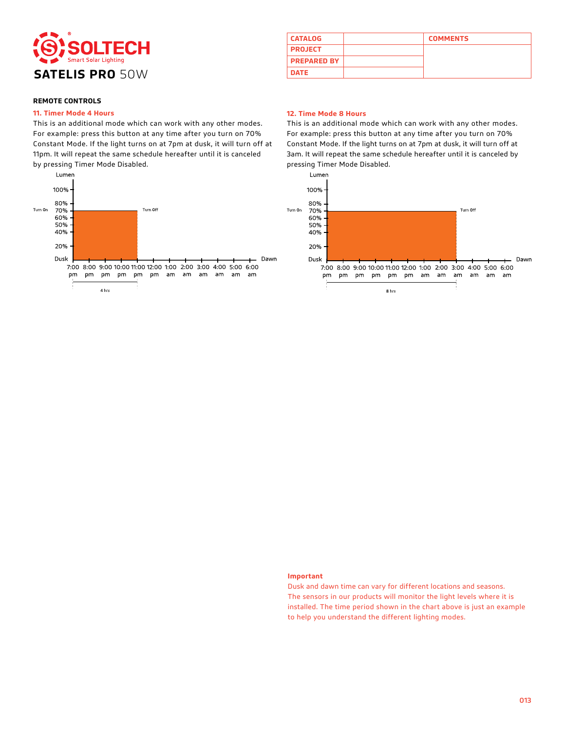

#### **11. Timer Mode 4 Hours**

This is an additional mode which can work with any other modes. For example: press this button at any time after you turn on 70% Constant Mode. If the light turns on at 7pm at dusk, it will turn off at 11pm. It will repeat the same schedule hereafter until it is canceled by pressing Timer Mode Disabled.



### **CATALOG COMMENTS PROJECT PREPARED BY**

#### **12. Time Mode 8 Hours**

This is an additional mode which can work with any other modes. For example: press this button at any time after you turn on 70% Constant Mode. If the light turns on at 7pm at dusk, it will turn off at 3am. It will repeat the same schedule hereafter until it is canceled by pressing Timer Mode Disabled.



#### **Important**

Dusk and dawn time can vary for different locations and seasons. The sensors in our products will monitor the light levels where it is installed. The time period shown in the chart above is just an example to help you understand the different lighting modes.